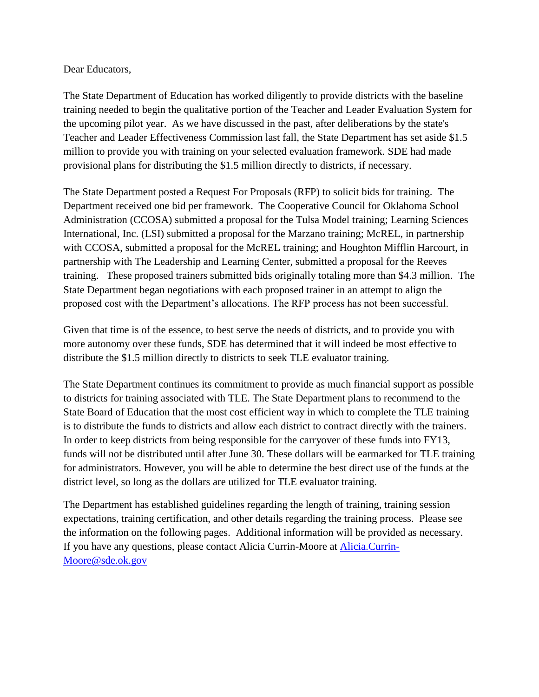#### Dear Educators,

The State Department of Education has worked diligently to provide districts with the baseline training needed to begin the qualitative portion of the Teacher and Leader Evaluation System for the upcoming pilot year. As we have discussed in the past, after deliberations by the state's Teacher and Leader Effectiveness Commission last fall, the State Department has set aside \$1.5 million to provide you with training on your selected evaluation framework. SDE had made provisional plans for distributing the \$1.5 million directly to districts, if necessary.

The State Department posted a Request For Proposals (RFP) to solicit bids for training. The Department received one bid per framework. The Cooperative Council for Oklahoma School Administration (CCOSA) submitted a proposal for the Tulsa Model training; Learning Sciences International, Inc. (LSI) submitted a proposal for the Marzano training; McREL, in partnership with CCOSA, submitted a proposal for the McREL training; and Houghton Mifflin Harcourt, in partnership with The Leadership and Learning Center, submitted a proposal for the Reeves training. These proposed trainers submitted bids originally totaling more than \$4.3 million. The State Department began negotiations with each proposed trainer in an attempt to align the proposed cost with the Department's allocations. The RFP process has not been successful.

Given that time is of the essence, to best serve the needs of districts, and to provide you with more autonomy over these funds, SDE has determined that it will indeed be most effective to distribute the \$1.5 million directly to districts to seek TLE evaluator training.

The State Department continues its commitment to provide as much financial support as possible to districts for training associated with TLE. The State Department plans to recommend to the State Board of Education that the most cost efficient way in which to complete the TLE training is to distribute the funds to districts and allow each district to contract directly with the trainers. In order to keep districts from being responsible for the carryover of these funds into FY13, funds will not be distributed until after June 30. These dollars will be earmarked for TLE training for administrators. However, you will be able to determine the best direct use of the funds at the district level, so long as the dollars are utilized for TLE evaluator training.

The Department has established guidelines regarding the length of training, training session expectations, training certification, and other details regarding the training process. Please see the information on the following pages. Additional information will be provided as necessary. If you have any questions, please contact Alicia Currin-Moore at [Alicia.Currin-](mailto:Alicia.Currin-Moore@sde.ok.gov)[Moore@sde.ok.gov](mailto:Alicia.Currin-Moore@sde.ok.gov)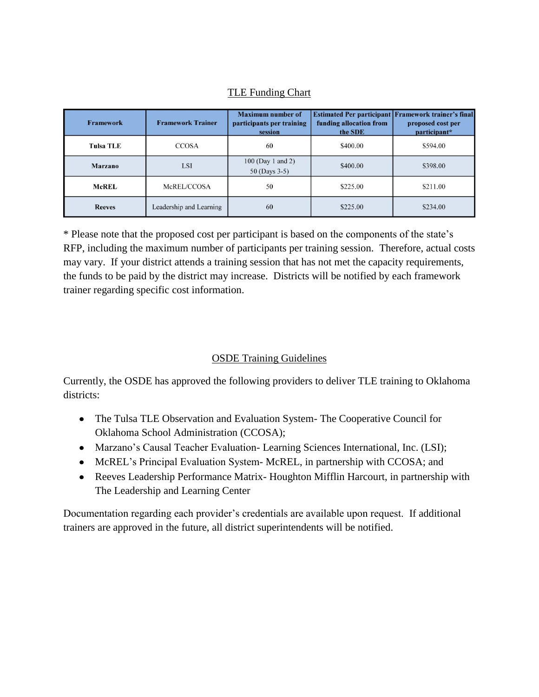# TLE Funding Chart

| <b>Framework</b> | <b>Framework Trainer</b> | <b>Maximum number of</b><br>participants per training<br>session | funding allocation from<br>the SDE | Estimated Per participant Framework trainer's final<br>proposed cost per<br>participant* |
|------------------|--------------------------|------------------------------------------------------------------|------------------------------------|------------------------------------------------------------------------------------------|
| <b>Tulsa TLE</b> | <b>CCOSA</b>             | 60                                                               | \$400.00                           | \$594.00                                                                                 |
| Marzano          | <b>LSI</b>               | 100 (Day 1 and 2)<br>50 (Days 3-5)                               | \$400.00                           | \$398.00                                                                                 |
| <b>McREL</b>     | McREL/CCOSA              | 50                                                               | \$225.00                           | \$211.00                                                                                 |
| <b>Reeves</b>    | Leadership and Learning  | 60                                                               | \$225.00                           | \$234.00                                                                                 |

\* Please note that the proposed cost per participant is based on the components of the state's RFP, including the maximum number of participants per training session. Therefore, actual costs may vary. If your district attends a training session that has not met the capacity requirements, the funds to be paid by the district may increase. Districts will be notified by each framework trainer regarding specific cost information.

## OSDE Training Guidelines

Currently, the OSDE has approved the following providers to deliver TLE training to Oklahoma districts:

- The Tulsa TLE Observation and Evaluation System- The Cooperative Council for Oklahoma School Administration (CCOSA);
- Marzano's Causal Teacher Evaluation- Learning Sciences International, Inc. (LSI);
- McREL's Principal Evaluation System-McREL, in partnership with CCOSA; and
- Reeves Leadership Performance Matrix- Houghton Mifflin Harcourt, in partnership with The Leadership and Learning Center

Documentation regarding each provider's credentials are available upon request. If additional trainers are approved in the future, all district superintendents will be notified.